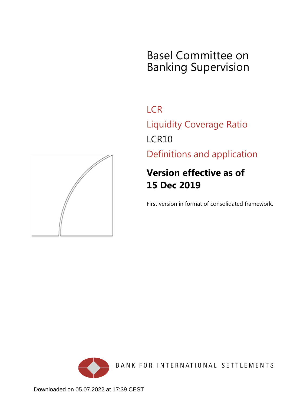# Basel Committee on Banking Supervision

**LCR** Liquidity Coverage Ratio LCR10

Definitions and application

# **Version effective as of 15 Dec 2019**

First version in format of consolidated framework.



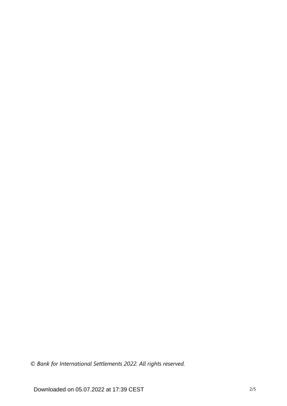*© Bank for International Settlements 2022. All rights reserved.*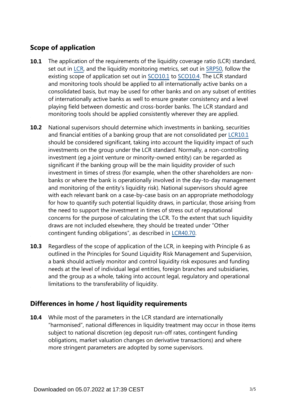# **Scope of application**

- The application of the requirements of the liquidity coverage ratio (LCR) standard, set out in [LCR](https://www.bis.org/basel_framework/standard/LCR.htm?tldate=20281012), and the liquidity monitoring metrics, set out in [SRP50,](https://www.bis.org/basel_framework/chapter/SRP/50.htm?tldate=20281012&inforce=20191215&published=20191215) follow the existing scope of application set out in [SCO10.1](https://www.bis.org/basel_framework/chapter/SCO/10.htm?tldate=20281012&inforce=20191215&published=20191215#paragraph_SCO_10_20191215_10_1) to [SCO10.4](https://www.bis.org/basel_framework/chapter/SCO/10.htm?tldate=20281012&inforce=20191215&published=20191215#paragraph_SCO_10_20191215_10_4). The LCR standard and monitoring tools should be applied to all internationally active banks on a consolidated basis, but may be used for other banks and on any subset of entities of internationally active banks as well to ensure greater consistency and a level playing field between domestic and cross-border banks. The LCR standard and monitoring tools should be applied consistently wherever they are applied. **10.1**
- National supervisors should determine which investments in banking, securities and financial entities of a banking group that are not consolidated per [LCR10.1](https://www.bis.org/basel_framework/chapter/LCR/10.htm?tldate=20281012&inforce=20191215&published=20191215#paragraph_LCR_10_20191215_10_1) should be considered significant, taking into account the liquidity impact of such investments on the group under the LCR standard. Normally, a non-controlling investment (eg a joint venture or minority-owned entity) can be regarded as significant if the banking group will be the main liquidity provider of such investment in times of stress (for example, when the other shareholders are nonbanks or where the bank is operationally involved in the day-to-day management and monitoring of the entity's liquidity risk). National supervisors should agree with each relevant bank on a case-by-case basis on an appropriate methodology for how to quantify such potential liquidity draws, in particular, those arising from the need to support the investment in times of stress out of reputational concerns for the purpose of calculating the LCR. To the extent that such liquidity draws are not included elsewhere, they should be treated under "Other contingent funding obligations", as described in [LCR40.70](https://www.bis.org/basel_framework/chapter/LCR/40.htm?tldate=20281012&inforce=20191215&published=20191215#paragraph_LCR_40_20191215_40_70). **10.2**
- Regardless of the scope of application of the LCR, in keeping with Principle 6 as outlined in the Principles for Sound Liquidity Risk Management and Supervision, a bank should actively monitor and control liquidity risk exposures and funding needs at the level of individual legal entities, foreign branches and subsidiaries, and the group as a whole, taking into account legal, regulatory and operational limitations to the transferability of liquidity. **10.3**

## **Differences in home / host liquidity requirements**

While most of the parameters in the LCR standard are internationally "harmonised", national differences in liquidity treatment may occur in those items subject to national discretion (eg deposit run-off rates, contingent funding obligations, market valuation changes on derivative transactions) and where more stringent parameters are adopted by some supervisors. **10.4**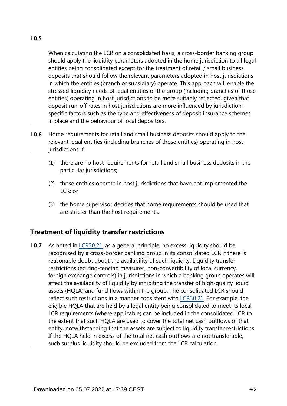# **10.5**

When calculating the LCR on a consolidated basis, a cross-border banking group should apply the liquidity parameters adopted in the home jurisdiction to all legal entities being consolidated except for the treatment of retail / small business deposits that should follow the relevant parameters adopted in host jurisdictions in which the entities (branch or subsidiary) operate. This approach will enable the stressed liquidity needs of legal entities of the group (including branches of those entities) operating in host jurisdictions to be more suitably reflected, given that deposit run-off rates in host jurisdictions are more influenced by jurisdictionspecific factors such as the type and effectiveness of deposit insurance schemes in place and the behaviour of local depositors.

- Home requirements for retail and small business deposits should apply to the relevant legal entities (including branches of those entities) operating in host jurisdictions if: **10.6**
	- (1) there are no host requirements for retail and small business deposits in the particular jurisdictions;
	- (2) those entities operate in host jurisdictions that have not implemented the LCR; or
	- (3) the home supervisor decides that home requirements should be used that are stricter than the host requirements.

## **Treatment of liquidity transfer restrictions**

As noted in [LCR30.21](https://www.bis.org/basel_framework/chapter/LCR/30.htm?tldate=20281012&inforce=20191215&published=20200605#paragraph_LCR_30_20191215_30_21), as a general principle, no excess liquidity should be recognised by a cross-border banking group in its consolidated LCR if there is reasonable doubt about the availability of such liquidity. Liquidity transfer restrictions (eg ring-fencing measures, non-convertibility of local currency, foreign exchange controls) in jurisdictions in which a banking group operates will affect the availability of liquidity by inhibiting the transfer of high-quality liquid assets (HQLA) and fund flows within the group. The consolidated LCR should reflect such restrictions in a manner consistent with [LCR30.21](https://www.bis.org/basel_framework/chapter/LCR/30.htm?tldate=20281012&inforce=20191215&published=20200605#paragraph_LCR_30_20191215_30_21). For example, the eligible HQLA that are held by a legal entity being consolidated to meet its local LCR requirements (where applicable) can be included in the consolidated LCR to the extent that such HQLA are used to cover the total net cash outflows of that entity, notwithstanding that the assets are subject to liquidity transfer restrictions. If the HQLA held in excess of the total net cash outflows are not transferable, such surplus liquidity should be excluded from the LCR calculation. **10.7**